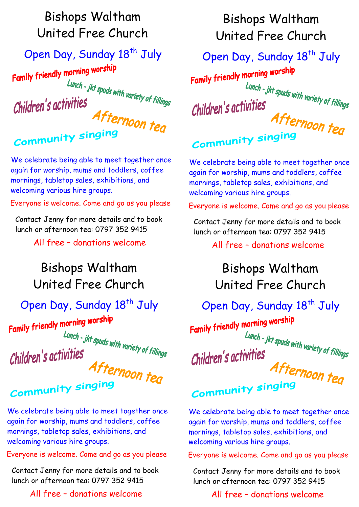### Bishops Waltham United Free Church

### Open Day, Sunday 18<sup>th</sup> July

Family friendly morning worship ..<br>Lunch - jkt spuds with variety of fillings<br>j**yitieS** Children's activities Afternoon teg

**Community singing** 

We celebrate being able to meet together once again for worship, mums and toddlers, coffee mornings, tabletop sales, exhibitions, and welcoming various hire groups.

Everyone is welcome. Come and go as you please

Contact Jenny for more details and to book lunch or afternoon tea: 0797 352 9415

All free – donations welcome

## Bishops Waltham United Free Church

#### Open Day, Sunday 18<sup>th</sup> July

Family friendly morning worship

Lunch - jkt spuds with variety of fillings<br>ti**vitieS** Children's activities

Afternoon teg **Community singing** 

We celebrate being able to meet together once again for worship, mums and toddlers, coffee mornings, tabletop sales, exhibitions, and welcoming various hire groups.

Everyone is welcome. Come and go as you please

Contact Jenny for more details and to book lunch or afternoon tea: 0797 352 9415

All free – donations welcome

### Bishops Waltham United Free Church

#### Open Day, Sunday 18<sup>th</sup> July

Family friendly morning worship ...<br>Lunch - jkt spuds with variety of fillings<br>j**yitieS** Children's activities Afternoon teg **Community singing** 

We celebrate being able to meet together once again for worship, mums and toddlers, coffee mornings, tabletop sales, exhibitions, and welcoming various hire groups.

Everyone is welcome. Come and go as you please

Contact Jenny for more details and to book lunch or afternoon tea: 0797 352 9415

All free – donations welcome

### Bishops Waltham United Free Church

#### Open Day, Sunday 18<sup>th</sup> July

Family friendly morning worship

Lunch - jkt spuds with variety of fillings<br>Tivities Children's activities

# Afternoon teg Community singing

We celebrate being able to meet together once again for worship, mums and toddlers, coffee mornings, tabletop sales, exhibitions, and welcoming various hire groups.

Everyone is welcome. Come and go as you please

Contact Jenny for more details and to book lunch or afternoon tea: 0797 352 9415

#### All free – donations welcome